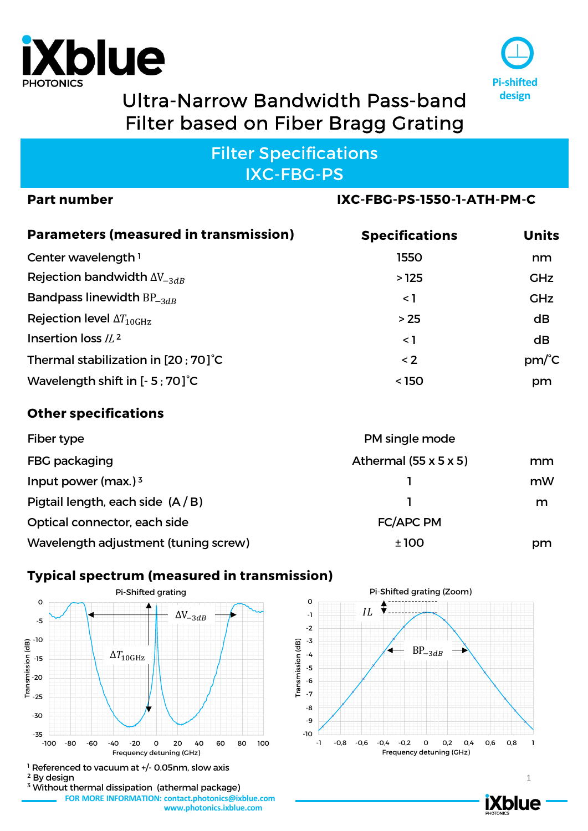



# Ultra-Narrow Bandwidth Pass-band Filter based on Fiber Bragg Grating

## Filter Specifications IXC-FBG-PS

### **Part number IXC-FBG-PS-1550-1-ATH-PM-C**

| <b>Parameters (measured in transmission)</b>     | <b>Specifications</b> | <b>Units</b>   |
|--------------------------------------------------|-----------------------|----------------|
| Center wavelength <sup>1</sup>                   | 1550                  | nm             |
| Rejection bandwidth $\Delta V_{-3dB}$            | >125                  | <b>GHz</b>     |
| Bandpass linewidth $BP_{-3dB}$                   | $\leq$ 1              | <b>GHz</b>     |
| Rejection level $\Delta T_{10\text{GHz}}$        | > 25                  | dB             |
| Insertion loss $IL^2$                            | $\leq$ 1              | dB             |
| Thermal stabilization in [20; 70] <sup>°</sup> C | $\leq$ 2              | $pm/^{\circ}C$ |
| Wavelength shift in $[-5, 70]$ °C                | $<$ 150               | pm             |

### **Other specifications**

| Fiber type                           | PM single mode                    |    |
|--------------------------------------|-----------------------------------|----|
| FBG packaging                        | Athermal $(55 \times 5 \times 5)$ | mm |
| Input power (max.) $3$               |                                   | mW |
| Pigtail length, each side $(A/B)$    |                                   | m  |
| Optical connector, each side         | <b>FC/APC PM</b>                  |    |
| Wavelength adjustment (tuning screw) | ±100                              | pm |

Transmission (dB)

### **Typical spectrum (measured in transmission)**



<sup>&</sup>lt;sup>1</sup> Referenced to vacuum at +/- 0.05nm, slow axis

**www.photonics.ixblue.com**



**iXblue** 

1

**FOR MORE INFORMATION: contact.photonics@ixblue.com** <sup>2</sup> By design <sup>3</sup> Without thermal dissipation (athermal package)